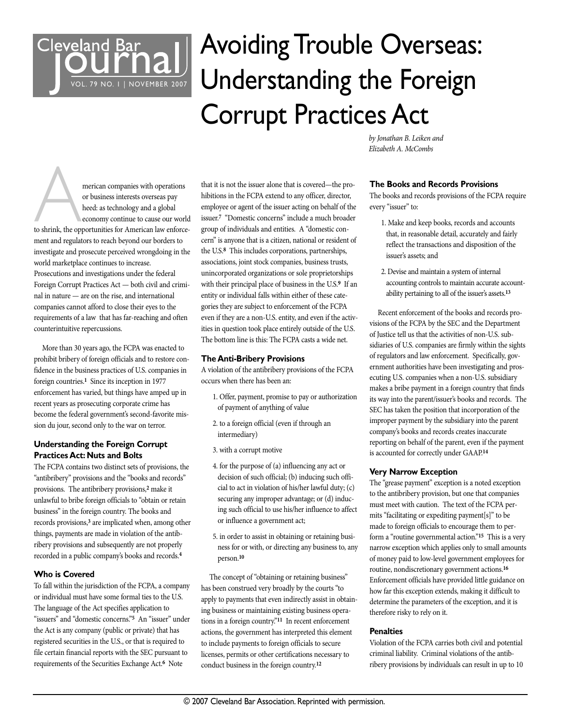

# Avoiding Trouble Overseas: Understanding the Foreign Corrupt Practices Act

merican companies with operations<br>or business interests overseas pay<br>heed: as technology and a global<br>economy continue to cause our world<br>to shrink, the opportunities for American law enforceor business interests overseas pay heed: as technology and a global economy continue to cause our world ment and regulators to reach beyond our borders to investigate and prosecute perceived wrongdoing in the world marketplace continues to increase. Prosecutions and investigations under the federal Foreign Corrupt Practices Act — both civil and criminal in nature — are on the rise, and international companies cannot afford to close their eyes to the requirements of a law that has far-reaching and often counterintuitive repercussions.

More than 30 years ago, the FCPA was enacted to prohibit bribery of foreign officials and to restore confidence in the business practices of U.S. companies in foreign countries. **<sup>1</sup>** Since its inception in 1977 enforcement has varied, but things have amped up in recent years as prosecuting corporate crime has become the federal government's second-favorite mission du jour, second only to the war on terror.

# **Understanding the Foreign Corrupt Practices Act: Nuts and Bolts**

The FCPA contains two distinct sets of provisions, the "antibribery" provisions and the "books and records" provisions. The antibribery provisions, **<sup>2</sup>** make it unlawful to bribe foreign officials to "obtain or retain business" in the foreign country. The books and records provisions, **<sup>3</sup>** are implicated when, among other things, payments are made in violation of the antibribery provisions and subsequently are not properly recorded in a public company's books and records. **4**

# **Who is Covered**

To fall within the jurisdiction of the FCPA, a company or individual must have some formal ties to the U.S. The language of the Act specifies application to "issuers" and "domestic concerns."**<sup>5</sup>** An "issuer" under the Act is any company (public or private) that has registered securities in the U.S., or that is required to file certain financial reports with the SEC pursuant to requirements of the Securities Exchange Act. **<sup>6</sup>** Note

that it is not the issuer alone that is covered—the prohibitions in the FCPA extend to any officer, director, employee or agent of the issuer acting on behalf of the issuer. **<sup>7</sup>** "Domestic concerns" include a much broader group of individuals and entities. A "domestic concern" is anyone that is a citizen, national or resident of the U.S. **<sup>8</sup>** This includes corporations, partnerships, associations, joint stock companies, business trusts, unincorporated organizations or sole proprietorships with their principal place of business in the U.S. **<sup>9</sup>** If an entity or individual falls within either of these categories they are subject to enforcement of the FCPA even if they are a non-U.S. entity, and even if the activities in question took place entirely outside of the U.S. The bottom line is this: The FCPA casts a wide net.

# **The Anti-Bribery Provisions**

A violation of the antibribery provisions of the FCPA occurs when there has been an:

- 1. Offer, payment, promise to pay or authorization of payment of anything of value
- 2. to a foreign official (even if through an intermediary)
- 3. with a corrupt motive
- 4. for the purpose of (a) influencing any act or decision of such official; (b) inducing such official to act in violation of his/her lawful duty; (c) securing any improper advantage; or (d) inducing such official to use his/her influence to affect or influence a government act;
- 5. in order to assist in obtaining or retaining business for or with, or directing any business to, any person. **10**

The concept of "obtaining or retaining business" has been construed very broadly by the courts "to apply to payments that even indirectly assist in obtaining business or maintaining existing business operations in a foreign country."**<sup>11</sup>** In recent enforcement actions, the government has interpreted this element to include payments to foreign officials to secure licenses, permits or other certifications necessary to conduct business in the foreign country. **12**

by Jonathan B. Leiken and Elizabeth A. McCombs

# **The Books and Records Provisions**

The books and records provisions of the FCPA require every "issuer" to:

- 1. Make and keep books, records and accounts that, in reasonable detail, accurately and fairly reflect the transactions and disposition of the issuer's assets; and
- 2. Devise and maintain a system of internal accounting controls to maintain accurate accountability pertaining to all of the issuer's assets. **13**

Recent enforcement of the books and records provisions of the FCPA by the SEC and the Department of Justice tell us that the activities of non-U.S. subsidiaries of U.S. companies are firmly within the sights of regulators and law enforcement. Specifically, government authorities have been investigating and prosecuting U.S. companies when a non-U.S. subsidiary makes a bribe payment in a foreign country that finds its way into the parent/issuer's books and records. The SEC has taken the position that incorporation of the improper payment by the subsidiary into the parent company's books and records creates inaccurate reporting on behalf of the parent, even if the payment is accounted for correctly under GAAP. **14**

# **Very Narrow Exception**

The "grease payment" exception is a noted exception to the antibribery provision, but one that companies must meet with caution. The text of the FCPA permits "facilitating or expediting payment[s]" to be made to foreign officials to encourage them to perform a "routine governmental action."**<sup>15</sup>** This is a very narrow exception which applies only to small amounts of money paid to low-level government employees for routine, nondiscretionary government actions. **16** Enforcement officials have provided little guidance on how far this exception extends, making it difficult to determine the parameters of the exception, and it is therefore risky to rely on it.

# **Penalties**

Violation of the FCPA carries both civil and potential criminal liability. Criminal violations of the antibribery provisions by individuals can result in up to 10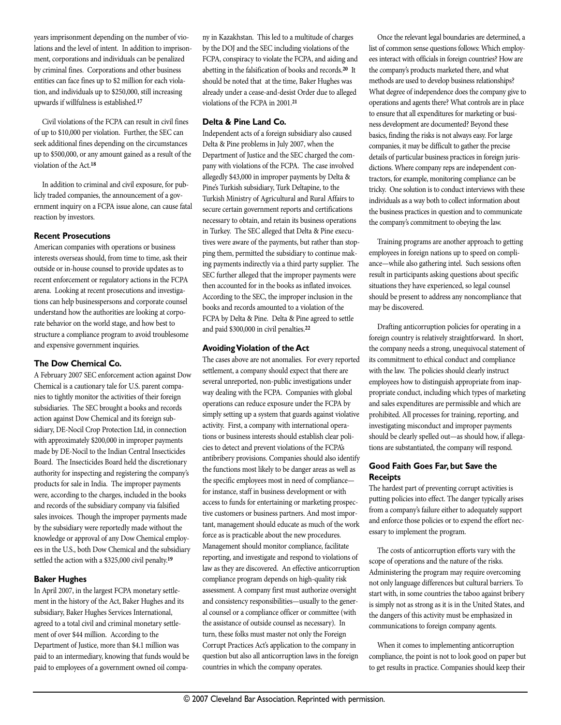years imprisonment depending on the number of violations and the level of intent. In addition to imprisonment, corporations and individuals can be penalized by criminal fines. Corporations and other business entities can face fines up to \$2 million for each violation, and individuals up to \$250,000, still increasing upwards if willfulness is established. **17**

Civil violations of the FCPA can result in civil fines of up to \$10,000 per violation. Further, the SEC can seek additional fines depending on the circumstances up to \$500,000, or any amount gained as a result of the violation of the Act. **18**

In addition to criminal and civil exposure, for publicly traded companies, the announcement of a government inquiry on a FCPA issue alone, can cause fatal reaction by investors.

### **Recent Prosecutions**

American companies with operations or business interests overseas should, from time to time, ask their outside or in-house counsel to provide updates as to recent enforcement or regulatory actions in the FCPA arena. Looking at recent prosecutions and investigations can help businesspersons and corporate counsel understand how the authorities are looking at corporate behavior on the world stage, and how best to structure a compliance program to avoid troublesome and expensive government inquiries.

# **The Dow Chemical Co.**

A February 2007 SEC enforcement action against Dow Chemical is a cautionary tale for U.S. parent companies to tightly monitor the activities of their foreign subsidiaries. The SEC brought a books and records action against Dow Chemical and its foreign subsidiary, DE-Nocil Crop Protection Ltd, in connection with approximately \$200,000 in improper payments made by DE-Nocil to the Indian Central Insecticides Board. The Insecticides Board held the discretionary authority for inspecting and registering the company's products for sale in India. The improper payments were, according to the charges, included in the books and records of the subsidiary company via falsified sales invoices. Though the improper payments made by the subsidiary were reportedly made without the knowledge or approval of any Dow Chemical employees in the U.S., both Dow Chemical and the subsidiary settled the action with a \$325,000 civil penalty. **19**

# **Baker Hughes**

In April 2007, in the largest FCPA monetary settlement in the history of the Act, Baker Hughes and its subsidiary, Baker Hughes Services International, agreed to a total civil and criminal monetary settlement of over \$44 million. According to the Department of Justice, more than \$4.1 million was paid to an intermediary, knowing that funds would be paid to employees of a government owned oil company in Kazakhstan. This led to a multitude of charges by the DOJ and the SEC including violations of the FCPA, conspiracy to violate the FCPA, and aiding and abetting in the falsification of books and records. **<sup>20</sup>** It should be noted that at the time, Baker Hughes was already under a cease-and-desist Order due to alleged violations of the FCPA in 2001. **21**

# **Delta & Pine Land Co.**

Independent acts of a foreign subsidiary also caused Delta & Pine problems in July 2007, when the Department of Justice and the SEC charged the company with violations of the FCPA. The case involved allegedly \$43,000 in improper payments by Delta & Pine's Turkish subsidiary, Turk Deltapine, to the Turkish Ministry of Agricultural and Rural Affairs to secure certain government reports and certifications necessary to obtain, and retain its business operations in Turkey. The SEC alleged that Delta & Pine executives were aware of the payments, but rather than stopping them, permitted the subsidiary to continue making payments indirectly via a third party supplier. The SEC further alleged that the improper payments were then accounted for in the books as inflated invoices. According to the SEC, the improper inclusion in the books and records amounted to a violation of the FCPA by Delta & Pine. Delta & Pine agreed to settle and paid \$300,000 in civil penalties. **22**

# **AvoidingViolation of the Act**

The cases above are not anomalies. For every reported settlement, a company should expect that there are several unreported, non-public investigations under way dealing with the FCPA. Companies with global operations can reduce exposure under the FCPA by simply setting up a system that guards against violative activity. First, a company with international operations or business interests should establish clear policies to detect and prevent violations of the FCPA's antibribery provisions. Companies should also identify the functions most likely to be danger areas as well as the specific employees most in need of compliance for instance, staff in business development or with access to funds for entertaining or marketing prospective customers or business partners. And most important, management should educate as much of the work force as is practicable about the new procedures. Management should monitor compliance, facilitate reporting, and investigate and respond to violations of law as they are discovered. An effective anticorruption compliance program depends on high-quality risk assessment. A company first must authorize oversight and consistency responsibilities—usually to the general counsel or a compliance officer or committee (with the assistance of outside counsel as necessary). In turn, these folks must master not only the Foreign Corrupt Practices Act's application to the company in question but also all anticorruption laws in the foreign countries in which the company operates.

Once the relevant legal boundaries are determined, a list of common sense questions follows: Which employees interact with officials in foreign countries? How are the company's products marketed there, and what methods are used to develop business relationships? What degree of independence does the company give to operations and agents there? What controls are in place to ensure that all expenditures for marketing or business development are documented? Beyond these basics, finding the risks is not always easy. For large companies, it may be difficult to gather the precise details of particular business practices in foreign jurisdictions. Where company reps are independent contractors, for example, monitoring compliance can be tricky. One solution is to conduct interviews with these individuals as a way both to collect information about the business practices in question and to communicate the company's commitment to obeying the law.

Training programs are another approach to getting employees in foreign nations up to speed on compliance—while also gathering intel. Such sessions often result in participants asking questions about specific situations they have experienced, so legal counsel should be present to address any noncompliance that may be discovered.

Drafting anticorruption policies for operating in a foreign country is relatively straightforward. In short, the company needs a strong, unequivocal statement of its commitment to ethical conduct and compliance with the law. The policies should clearly instruct employees how to distinguish appropriate from inappropriate conduct, including which types of marketing and sales expenditures are permissible and which are prohibited. All processes for training, reporting, and investigating misconduct and improper payments should be clearly spelled out—as should how, if allegations are substantiated, the company will respond.

# **Good Faith Goes Far, but Save the Receipts**

The hardest part of preventing corrupt activities is putting policies into effect. The danger typically arises from a company's failure either to adequately support and enforce those policies or to expend the effort necessary to implement the program.

The costs of anticorruption efforts vary with the scope of operations and the nature of the risks. Administering the program may require overcoming not only language differences but cultural barriers. To start with, in some countries the taboo against bribery is simply not as strong as it is in the United States, and the dangers of this activity must be emphasized in communications to foreign company agents.

When it comes to implementing anticorruption compliance, the point is not to look good on paper but to get results in practice. Companies should keep their